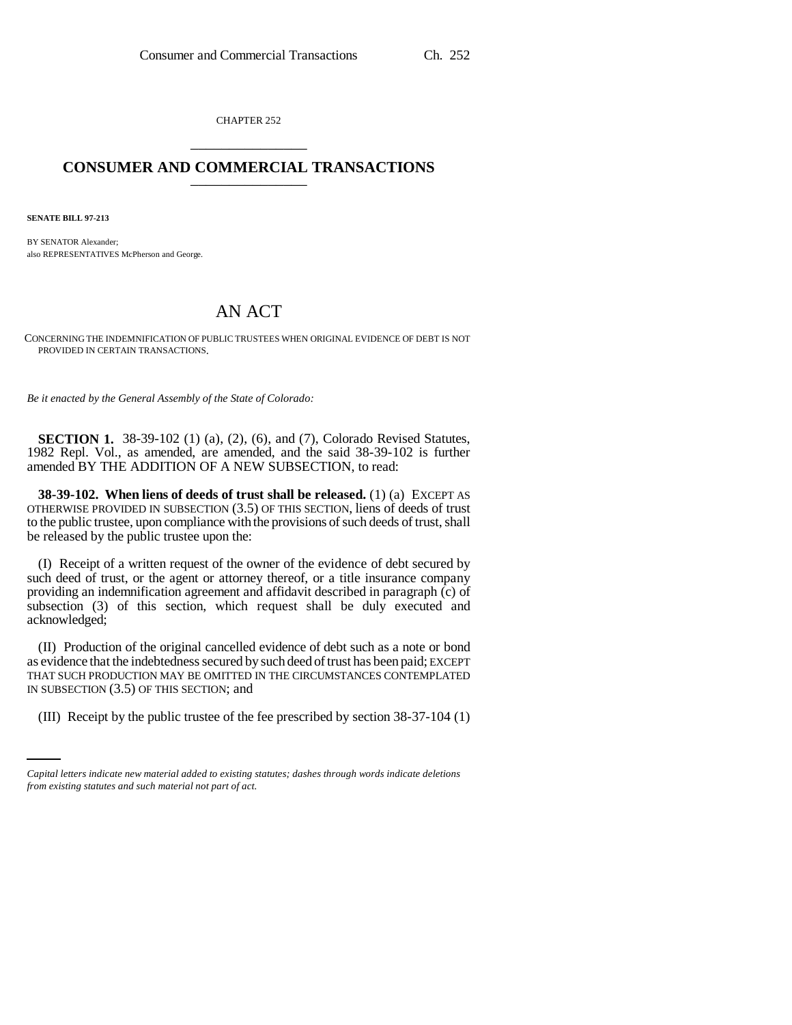CHAPTER 252 \_\_\_\_\_\_\_\_\_\_\_\_\_\_\_

## **CONSUMER AND COMMERCIAL TRANSACTIONS** \_\_\_\_\_\_\_\_\_\_\_\_\_\_\_

**SENATE BILL 97-213**

BY SENATOR Alexander; also REPRESENTATIVES McPherson and George.

## AN ACT

CONCERNING THE INDEMNIFICATION OF PUBLIC TRUSTEES WHEN ORIGINAL EVIDENCE OF DEBT IS NOT PROVIDED IN CERTAIN TRANSACTIONS.

*Be it enacted by the General Assembly of the State of Colorado:*

**SECTION 1.** 38-39-102 (1) (a), (2), (6), and (7), Colorado Revised Statutes, 1982 Repl. Vol., as amended, are amended, and the said 38-39-102 is further amended BY THE ADDITION OF A NEW SUBSECTION, to read:

**38-39-102. When liens of deeds of trust shall be released.** (1) (a) EXCEPT AS OTHERWISE PROVIDED IN SUBSECTION (3.5) OF THIS SECTION, liens of deeds of trust to the public trustee, upon compliance with the provisions of such deeds of trust, shall be released by the public trustee upon the:

(I) Receipt of a written request of the owner of the evidence of debt secured by such deed of trust, or the agent or attorney thereof, or a title insurance company providing an indemnification agreement and affidavit described in paragraph (c) of subsection (3) of this section, which request shall be duly executed and acknowledged;

IN SUBSECTION (3.5) OF THIS SECTION; and (II) Production of the original cancelled evidence of debt such as a note or bond as evidence that the indebtedness secured by such deed of trust has been paid; EXCEPT THAT SUCH PRODUCTION MAY BE OMITTED IN THE CIRCUMSTANCES CONTEMPLATED

(III) Receipt by the public trustee of the fee prescribed by section 38-37-104 (1)

*Capital letters indicate new material added to existing statutes; dashes through words indicate deletions from existing statutes and such material not part of act.*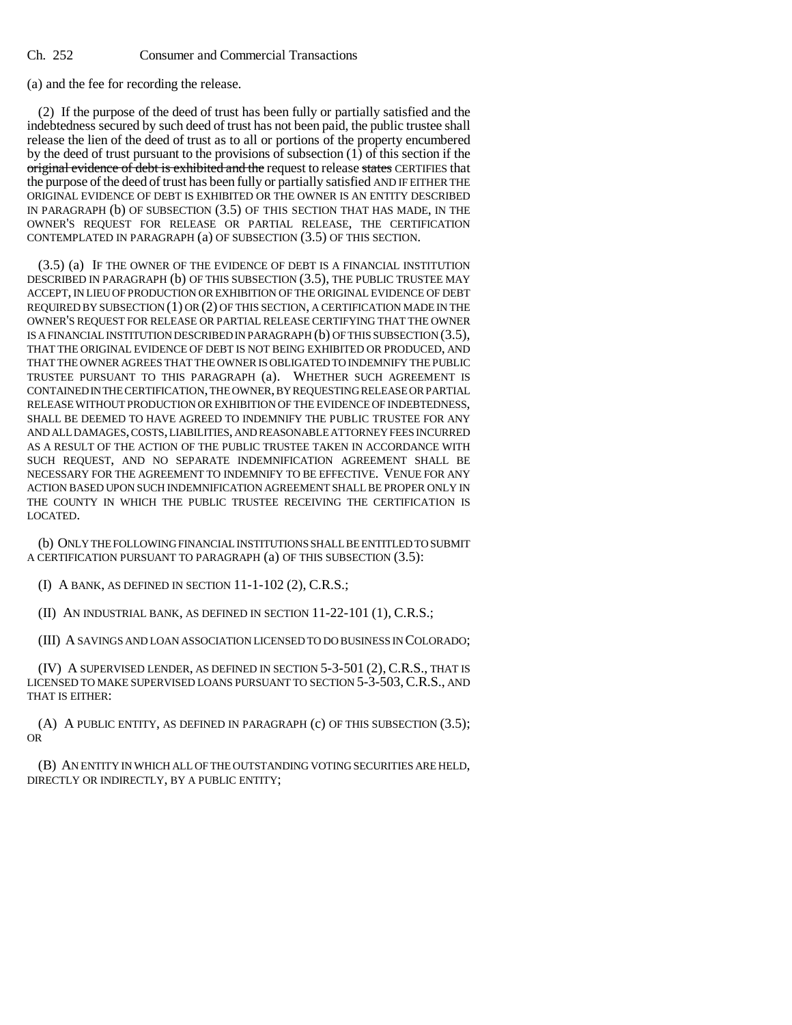Ch. 252 Consumer and Commercial Transactions

(a) and the fee for recording the release.

(2) If the purpose of the deed of trust has been fully or partially satisfied and the indebtedness secured by such deed of trust has not been paid, the public trustee shall release the lien of the deed of trust as to all or portions of the property encumbered by the deed of trust pursuant to the provisions of subsection (1) of this section if the original evidence of debt is exhibited and the request to release states CERTIFIES that the purpose of the deed of trust has been fully or partially satisfied AND IF EITHER THE ORIGINAL EVIDENCE OF DEBT IS EXHIBITED OR THE OWNER IS AN ENTITY DESCRIBED IN PARAGRAPH (b) OF SUBSECTION (3.5) OF THIS SECTION THAT HAS MADE, IN THE OWNER'S REQUEST FOR RELEASE OR PARTIAL RELEASE, THE CERTIFICATION CONTEMPLATED IN PARAGRAPH (a) OF SUBSECTION (3.5) OF THIS SECTION.

(3.5) (a) IF THE OWNER OF THE EVIDENCE OF DEBT IS A FINANCIAL INSTITUTION DESCRIBED IN PARAGRAPH (b) OF THIS SUBSECTION (3.5), THE PUBLIC TRUSTEE MAY ACCEPT, IN LIEU OF PRODUCTION OR EXHIBITION OF THE ORIGINAL EVIDENCE OF DEBT REQUIRED BY SUBSECTION (1) OR (2) OF THIS SECTION, A CERTIFICATION MADE IN THE OWNER'S REQUEST FOR RELEASE OR PARTIAL RELEASE CERTIFYING THAT THE OWNER IS A FINANCIAL INSTITUTION DESCRIBED IN PARAGRAPH (b) OF THIS SUBSECTION (3.5), THAT THE ORIGINAL EVIDENCE OF DEBT IS NOT BEING EXHIBITED OR PRODUCED, AND THAT THE OWNER AGREES THAT THE OWNER IS OBLIGATED TO INDEMNIFY THE PUBLIC TRUSTEE PURSUANT TO THIS PARAGRAPH (a). WHETHER SUCH AGREEMENT IS CONTAINED IN THE CERTIFICATION, THE OWNER, BY REQUESTING RELEASE OR PARTIAL RELEASE WITHOUT PRODUCTION OR EXHIBITION OF THE EVIDENCE OF INDEBTEDNESS, SHALL BE DEEMED TO HAVE AGREED TO INDEMNIFY THE PUBLIC TRUSTEE FOR ANY AND ALL DAMAGES, COSTS, LIABILITIES, AND REASONABLE ATTORNEY FEES INCURRED AS A RESULT OF THE ACTION OF THE PUBLIC TRUSTEE TAKEN IN ACCORDANCE WITH SUCH REQUEST, AND NO SEPARATE INDEMNIFICATION AGREEMENT SHALL BE NECESSARY FOR THE AGREEMENT TO INDEMNIFY TO BE EFFECTIVE. VENUE FOR ANY ACTION BASED UPON SUCH INDEMNIFICATION AGREEMENT SHALL BE PROPER ONLY IN THE COUNTY IN WHICH THE PUBLIC TRUSTEE RECEIVING THE CERTIFICATION IS LOCATED.

(b) ONLY THE FOLLOWING FINANCIAL INSTITUTIONS SHALL BE ENTITLED TO SUBMIT A CERTIFICATION PURSUANT TO PARAGRAPH (a) OF THIS SUBSECTION (3.5):

(I) A BANK, AS DEFINED IN SECTION 11-1-102 (2), C.R.S.;

(II) AN INDUSTRIAL BANK, AS DEFINED IN SECTION 11-22-101 (1), C.R.S.;

(III) A SAVINGS AND LOAN ASSOCIATION LICENSED TO DO BUSINESS IN COLORADO;

(IV) A SUPERVISED LENDER, AS DEFINED IN SECTION 5-3-501 (2), C.R.S., THAT IS LICENSED TO MAKE SUPERVISED LOANS PURSUANT TO SECTION 5-3-503,C.R.S., AND THAT IS EITHER:

(A) A PUBLIC ENTITY, AS DEFINED IN PARAGRAPH (c) OF THIS SUBSECTION (3.5); OR

(B) AN ENTITY IN WHICH ALL OF THE OUTSTANDING VOTING SECURITIES ARE HELD, DIRECTLY OR INDIRECTLY, BY A PUBLIC ENTITY;